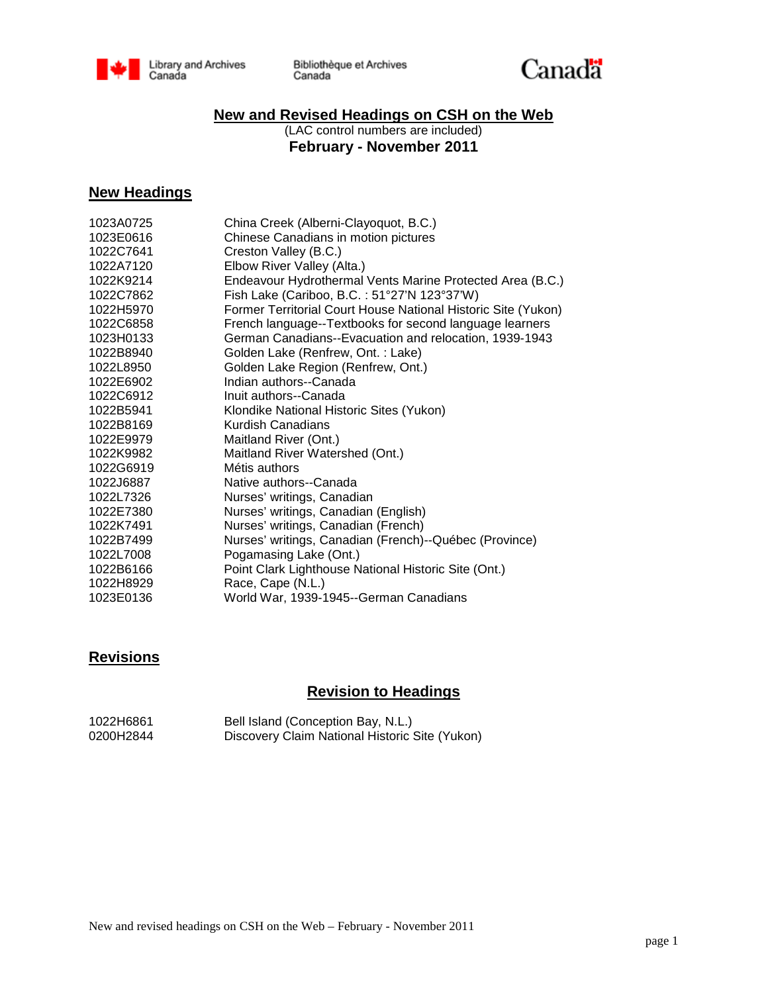

Bibliothèque et Archives Canada



## **New and Revised Headings on CSH on the Web**

(LAC control numbers are included) **February - November 2011**

### **New Headings**

| 1023A0725 | China Creek (Alberni-Clayoquot, B.C.)                         |
|-----------|---------------------------------------------------------------|
| 1023E0616 | Chinese Canadians in motion pictures                          |
| 1022C7641 | Creston Valley (B.C.)                                         |
| 1022A7120 | Elbow River Valley (Alta.)                                    |
| 1022K9214 | Endeavour Hydrothermal Vents Marine Protected Area (B.C.)     |
| 1022C7862 | Fish Lake (Cariboo, B.C.: 51°27'N 123°37'W)                   |
| 1022H5970 | Former Territorial Court House National Historic Site (Yukon) |
| 1022C6858 | French language--Textbooks for second language learners       |
| 1023H0133 | German Canadians--Evacuation and relocation, 1939-1943        |
| 1022B8940 | Golden Lake (Renfrew, Ont.: Lake)                             |
| 1022L8950 | Golden Lake Region (Renfrew, Ont.)                            |
| 1022E6902 | Indian authors--Canada                                        |
| 1022C6912 | Inuit authors--Canada                                         |
| 1022B5941 | Klondike National Historic Sites (Yukon)                      |
| 1022B8169 | Kurdish Canadians                                             |
| 1022E9979 | Maitland River (Ont.)                                         |
| 1022K9982 | Maitland River Watershed (Ont.)                               |
| 1022G6919 | Métis authors                                                 |
| 1022J6887 | Native authors--Canada                                        |
| 1022L7326 | Nurses' writings, Canadian                                    |
| 1022E7380 | Nurses' writings, Canadian (English)                          |
| 1022K7491 | Nurses' writings, Canadian (French)                           |
| 1022B7499 | Nurses' writings, Canadian (French)--Québec (Province)        |
| 1022L7008 | Pogamasing Lake (Ont.)                                        |
| 1022B6166 | Point Clark Lighthouse National Historic Site (Ont.)          |
| 1022H8929 | Race, Cape (N.L.)                                             |
| 1023E0136 | World War, 1939-1945--German Canadians                        |
|           |                                                               |

# **Revisions**

# **Revision to Headings**

| 1022H6861 | Bell Island (Conception Bay, N.L.)             |
|-----------|------------------------------------------------|
| 0200H2844 | Discovery Claim National Historic Site (Yukon) |